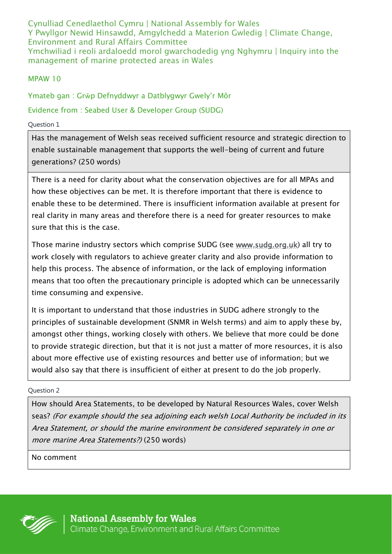Cynulliad Cenedlaethol Cymru | National Assembly for Wales Y Pwyllgor Newid Hinsawdd, Amgylchedd a Materion Gwledig | Climate Change, Environment and Rural Affairs Committee Ymchwiliad i reoli ardaloedd morol gwarchodedig yng Nghymru | Inquiry into the management of marine protected areas in Wales

## MPAW 10

Ymateb gan : Grŵp Defnyddwyr a Datblygwyr Gwely'r Môr

Evidence from : Seabed User & Developer Group (SUDG)

Question 1

Has the management of Welsh seas received sufficient resource and strategic direction to enable sustainable management that supports the well-being of current and future generations? (250 words)

There is a need for clarity about what the conservation objectives are for all MPAs and how these objectives can be met. It is therefore important that there is evidence to enable these to be determined. There is insufficient information available at present for real clarity in many areas and therefore there is a need for greater resources to make sure that this is the case.

Those marine industry sectors which comprise SUDG (see [www.sudg.org.uk\)](http://www.sudg.org.uk/) all try to work closely with regulators to achieve greater clarity and also provide information to help this process. The absence of information, or the lack of employing information means that too often the precautionary principle is adopted which can be unnecessarily time consuming and expensive.

It is important to understand that those industries in SUDG adhere strongly to the principles of sustainable development (SNMR in Welsh terms) and aim to apply these by, amongst other things, working closely with others. We believe that more could be done to provide strategic direction, but that it is not just a matter of more resources, it is also about more effective use of existing resources and better use of information; but we would also say that there is insufficient of either at present to do the job properly.

Question 2

How should Area Statements, to be developed by Natural Resources Wales, cover Welsh seas? (For example should the sea adjoining each welsh Local Authority be included in its Area Statement, or should the marine environment be considered separately in one or more marine Area Statements?) (250 words)

No comment

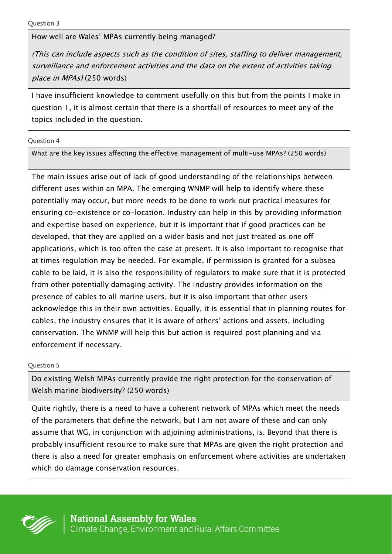How well are Wales' MPAs currently being managed?

(This can include aspects such as the condition of sites, staffing to deliver management, surveillance and enforcement activities and the data on the extent of activities taking place in MPAs) (250 words)

I have insufficient knowledge to comment usefully on this but from the points I make in question 1, it is almost certain that there is a shortfall of resources to meet any of the topics included in the question.

Question 4

What are the key issues affecting the effective management of multi-use MPAs? (250 words)

The main issues arise out of lack of good understanding of the relationships between different uses within an MPA. The emerging WNMP will help to identify where these potentially may occur, but more needs to be done to work out practical measures for ensuring co-existence or co-location. Industry can help in this by providing information and expertise based on experience, but it is important that if good practices can be developed, that they are applied on a wider basis and not just treated as one off applications, which is too often the case at present. It is also important to recognise that at times regulation may be needed. For example, if permission is granted for a subsea cable to be laid, it is also the responsibility of regulators to make sure that it is protected from other potentially damaging activity. The industry provides information on the presence of cables to all marine users, but it is also important that other users acknowledge this in their own activities. Equally, it is essential that in planning routes for cables, the industry ensures that it is aware of others' actions and assets, including conservation. The WNMP will help this but action is required post planning and via enforcement if necessary.

Question 5

Do existing Welsh MPAs currently provide the right protection for the conservation of Welsh marine biodiversity? (250 words)

Quite rightly, there is a need to have a coherent network of MPAs which meet the needs of the parameters that define the network, but I am not aware of these and can only assume that WG, in conjunction with adjoining administrations, is. Beyond that there is probably insufficient resource to make sure that MPAs are given the right protection and there is also a need for greater emphasis on enforcement where activities are undertaken which do damage conservation resources.

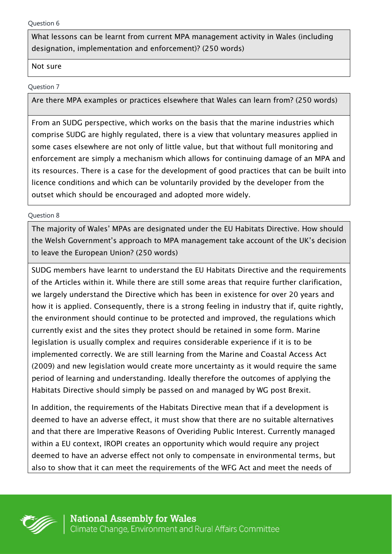What lessons can be learnt from current MPA management activity in Wales (including designation, implementation and enforcement)? (250 words)

## Not sure

## Question 7

Are there MPA examples or practices elsewhere that Wales can learn from? (250 words)

From an SUDG perspective, which works on the basis that the marine industries which comprise SUDG are highly regulated, there is a view that voluntary measures applied in some cases elsewhere are not only of little value, but that without full monitoring and enforcement are simply a mechanism which allows for continuing damage of an MPA and its resources. There is a case for the development of good practices that can be built into licence conditions and which can be voluntarily provided by the developer from the outset which should be encouraged and adopted more widely.

## Question 8

The majority of Wales' MPAs are designated under the EU Habitats Directive. How should the Welsh Government's approach to MPA management take account of the UK's decision to leave the European Union? (250 words)

SUDG members have learnt to understand the EU Habitats Directive and the requirements of the Articles within it. While there are still some areas that require further clarification, we largely understand the Directive which has been in existence for over 20 years and how it is applied. Consequently, there is a strong feeling in industry that if, quite rightly, the environment should continue to be protected and improved, the regulations which currently exist and the sites they protect should be retained in some form. Marine legislation is usually complex and requires considerable experience if it is to be implemented correctly. We are still learning from the Marine and Coastal Access Act (2009) and new legislation would create more uncertainty as it would require the same period of learning and understanding. Ideally therefore the outcomes of applying the Habitats Directive should simply be passed on and managed by WG post Brexit.

In addition, the requirements of the Habitats Directive mean that if a development is deemed to have an adverse effect, it must show that there are no suitable alternatives and that there are Imperative Reasons of Overiding Public Interest. Currently managed within a EU context, IROPI creates an opportunity which would require any project deemed to have an adverse effect not only to compensate in environmental terms, but also to show that it can meet the requirements of the WFG Act and meet the needs of